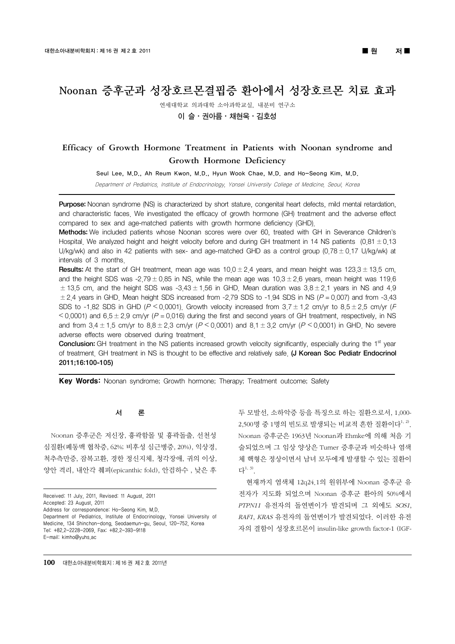# Noonan 증후군과 성장호르몬결핍증 환아에서 성장호르몬 치료 효과

연세대학교 의과대학 소아과학교실, 내분비 연구소

## 이 슬ㆍ권아름ㆍ채현욱ㆍ김호성

## Efficacy of Growth Hormone Treatment in Patients with Noonan syndrome and Growth Hormone Deficiency

Seul Lee, M.D., Ah Reum Kwon, M.D., Hyun Wook Chae, M.D. and Ho-Seong Kim, M.D.

Department of Pediatrics, Institute of Endocrinology, Yonsei University College of Medicine, Seoul, Korea

Purpose: Noonan syndrome (NS) is characterized by short stature, congenital heart defects, mild mental retardation, and characteristic faces. We investigated the efficacy of growth hormone (GH) treatment and the adverse effect compared to sex and age-matched patients with growth hormone deficiency (GHD).

Methods: We included patients whose Noonan scores were over 60, treated with GH in Severance Children's Hospital. We analyzed height and height velocity before and during GH treatment in 14 NS patients  $(0.81 \pm 0.13)$ U/kg/wk) and also in 42 patients with sex- and age-matched GHD as a control group (0.78  $\pm$  0.17 U/kg/wk) at intervals of 3 months.

**Results:** At the start of GH treatment, mean age was  $10.0 \pm 2.4$  years, and mean height was  $123.3 \pm 13.5$  cm, and the height SDS was -2.79  $\pm$  0.85 in NS, while the mean age was 10.3  $\pm$  2.6 years, mean height was 119.6  $\pm$  13.5 cm, and the height SDS was -3.43  $\pm$  1.56 in GHD. Mean duration was 3.8  $\pm$  2.1 years in NS and 4.9  $\pm$  2.4 years in GHD. Mean height SDS increased from -2.79 SDS to -1.94 SDS in NS ( $P = 0.007$ ) and from -3.43 SDS to -1.82 SDS in GHD (P  $\leq$  0.0001). Growth velocity increased from 3.7  $\pm$  1.2 cm/yr to 8.5  $\pm$  2.5 cm/yr (F  $<$  0.0001) and 6.5  $\pm$  2.9 cm/yr (P = 0.016) during the first and second years of GH treatment, respectively, in NS and from  $3.4 \pm 1.5$  cm/yr to  $8.8 \pm 2.3$  cm/yr ( $P \le 0.0001$ ) and  $8.1 \pm 3.2$  cm/yr ( $P \le 0.0001$ ) in GHD. No severe adverse effects were observed during treatment.

Conclusion: GH treatment in the NS patients increased growth velocity significantly, especially during the 1<sup>st</sup> year of treatment<sub>.</sub> GH treatment in NS is thought to be effective and relatively safe. (J Korean Soc Pediatr Endocrinol 2011;16:100-105)

Key Words: Noonan syndrome; Growth hormone; Therapy; Treatment outcome; Safety

## 서 론

Noonan 증후군은 저신장, 흉곽함몰 및 흉곽돌출, 선천성 심질환(폐동맥 협착증, 62%; 비후성 심근병증, 20%), 익상경, 척추측만증, 잠복고환, 경한 정신지체, 청각장애, 귀의 이상, 양안 격리, 내안각 췌피(epicanthic fold), 안검하수 , 낮은 후

Received: 11 July, 2011, Revised: 11 August, 2011 Accepted: 23 August, 2011 Address for correspondence: Ho-Seong Kim, M.D. Department of Pediatrics, Institute of Endocrinology, Yonsei University of Medicine, 134 Shinchon-dong, Seodaemun-gu, Seoul, 120-752, Korea Tel: +82.2-2228-2069, Fax: +82.2-393-9118 E-mail: kimho@yuhs.ac

두 모발선, 소하악증 등을 특징으로 하는 질환으로서, 1,000- 2,500명 중 1명의 빈도로 발생되는 비교적 흔한 질환이다<sup>1, 2)</sup>. Noonan 증후군은 1963년 Noonan과 Ehmke에 의해 처음 기 술되었으며 그 임상 양상은 Turner 증후군과 비슷하나 염색 체 핵형은 정상이면서 남녀 모두에게 발생할 수 있는 질환이 다1, 3) .

현재까지 염색체 12q24.1의 원위부에 Noonan 증후군 유 전자가 지도화 되었으며 Noonan 증후군 환아의 50%에서 PTPN11 유전자의 돌연변이가 발견되며 그 외에도 SOS1, RAF1, KRAS 유전자의 돌연변이가 발견되었다. 이러한 유전 자의 결함이 성장호르몬이 insulin-like growth factor-1 (IGF-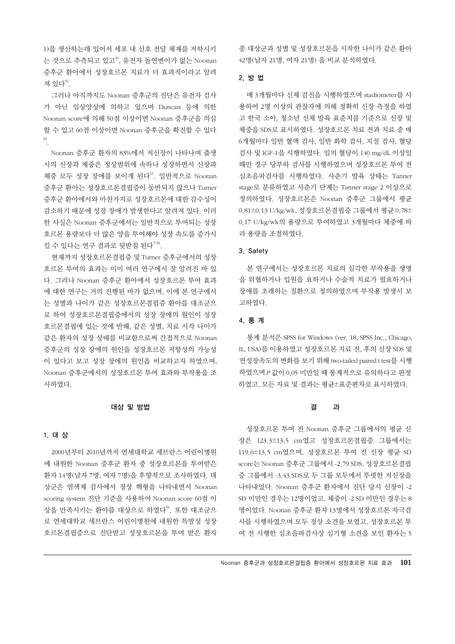1)을 생산하는데 있어서 세포 내 신호 전달 체계를 저하시키 는 것으로 추측되고 있고<sup>4)</sup>, 유전자 돌연변이가 없는 Noonan 증후군 환아에서 성장호르몬 치료가 더 효과적이라고 알려 져 있다<sup>5)</sup>.

그러나 아직까지도 Noonan 증후군의 진단은 유전자 검사 가 아닌 임상양상에 의하고 있으며 Duncan 등에 의한 Noonan score에 의해 50점 이상이면 Noonan 증후군을 의심 할 수 있고 60점 이상이면 Noonan 증후군을 확진할 수 있다 6) .

Noonan 증후군 환자의 83%에서 저신장이 나타나며 출생 시의 신장과 체중은 정상범위에 속하나 성장하면서 신장과 체중 모두 성장 장애를 보이게 된다 $^{\rm l)}$ . 일반적으로 Noonan 증후군 환아는 성장호르몬결핍증이 동반되지 않으나 Turner 증후군 환아에서와 마찬가지로 성장호르몬에 대한 감수성이 감소하기 때문에 성장 장애가 발생한다고 알려져 있다. 이러 한 사실은 Noonan 증후군에서는 일반적으로 투여되는 성장 호르몬 용량보다 더 많은 양을 투여해야 성장 속도를 증가시 킬 수 있다는 연구 결과로 뒷받침 된다<sup>7-9)</sup>.

현재까지 성장호르몬결핍증 및 Turner 증후군에서의 성장 호르몬 투여의 효과는 이미 여러 연구에서 잘 알려진 바 있 다. 그러나 Noonan 증후군 환아에서 성장호르몬 투여 효과 에 대한 연구는 거의 진행된 바가 없으며, 이에 본 연구에서 는 성별과 나이가 같은 성장호르몬결핍증 환아를 대조군으 로 하여 성장호르몬결핍증에서의 성장 장애의 원인이 성장 호르몬결핍에 있는 것에 반해, 같은 성별, 치료 시작 나이가 같은 환자의 성장 상태를 비교함으로써 간접적으로 Noonan 증후군의 성장 장애의 원인을 성장호르몬 저항성의 가능성 이 있다고 보고 성장 장애의 원인을 비교하고자 하였으며, Noonan 증후군에서의 성장호르몬 투여 효과와 부작용을 조 사하였다.

#### 대상 및 방법

## 1. 대 상

2000년부터 2010년까지 연세대학교 세브란스 어린이병원 에 내원한 Noonan 증후군 환자 중 성장호르몬을 투여받은 환자 14명(남자 7명, 여자 7명)을 후향적으로 조사하였다. 대 상군은 염색체 검사에서 정상 핵형을 나타내면서 Noonan scoring system 진단 기준을 사용하여 Noonan score 60점 이 상을 만족시키는 환아를 대상으로 하였다<sup>6)</sup>. 또한 대조군으 로 연세대학교 세브란스 어린이병원에 내원한 특발성 성장 호르몬결핍증으로 진단받고 성장호르몬을 투여 받은 환자 중 대상군과 성별 및 성장호르몬을 시작한 나이가 같은 환아 42명(남자 21명, 여자 21명) 을 비교 분석하였다.

## 2. 방 법

매 3개월마다 신체 검진을 시행하였으며 stadiometer를 사 용하여 2명 이상의 관찰자에 의해 정확히 신장 측정을 하였 고 한국 소아, 청소년 신체 발육 표준치를 기준으로 신장 및 체중을 SDS로 표시하였다. 성장호르몬 치료 전과 치료 중 매 6개월마다 일반 혈액 검사, 일반 화학 검사, 지질 검사, 혈당 검사 및 IGF-1을 시행하였다. 임의 혈당이 140 mg/dL 이상일 때만 경구 당부하 검사를 시행하였으며 성장호르몬 투여 전 심초음파검사를 시행하였다. 사춘기 발육 상태는 Tanner stage로 분류하였고 사춘기 단계는 Tanner stage 2 이상으로 정의하였다. 성장호르몬은 Noonan 증후군 그룹에서 평균 0.81±0.13 U/kg/wk, 성장호르몬결핍증 그룹에서 평균 0.78± 0.17 U/kg/wk의 용량으로 투여하였고 3개월마다 체중에 따 라 용량을 조절하였다.

#### 3. Safety

본 연구에서는 성장호르몬 치료의 심각한 부작용을 생명 을 위협하거나 입원을 요하거나 수술적 치료가 필요하거나 장애를 초래하는 질환으로 정의하였으며 부작용 발생시 보 고하였다.

## 4. 통 계

통계 분석은 SPSS for Windows (ver. 18, SPSS Inc., Chicago, IL, USA)를 이용하였고 성장호르몬 치료 전, 후의 신장 SDS 및 연성장속도의 변화를 보기 위해 two-tailed paired t test를 시행 하였으며<sup>P</sup> 값이 0.05 미만일 때 통계적으로 유의하다고 판정 하였고, 모든 자료 및 결과는 평균±표준편차로 표시하였다.

#### 결 과

성장호르몬 투여 전 Noonan 증후군 그룹에서의 평균 신 장은 123.3±13.5 cm였고 성장호르몬결핍증 그룹에서는 119.6±13.5 cm였으며, 성장호르몬 투여 전 신장 평균 SD score는 Noonan 증후군 그룹에서 -2.79 SDS, 성장호르몬결핍 증 그룹에서 -3.43 SDS로 두 그룹 모두에서 뚜렷한 저신장을 나타내었다. Noonan 증후군 환자에서 진단 당시 신장이 -2 SD 미만인 경우는 12명이었고, 체중이 -2 SD 미만인 경우는 8 명이었다. Noonan 증후군 환자 13명에서 성장호르몬 자극검 사를 시행하였으며 모두 정상 소견을 보였고, 성장호르몬 투 여 전 시행한 심초음파검사상 심기형 소견을 보인 환자는 5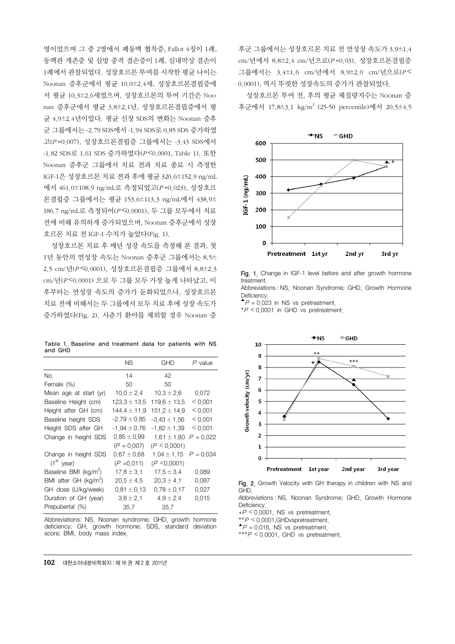명이었으며 그 중 2명에서 폐동맥 협착증, Fallot 4징이 1례, 동맥관 개존증 및 심방 중격 결손증이 1례, 심내막상 결손이 1례에서 관찰되었다. 성장호르몬 투여를 시작한 평균 나이는 Noonan 증후군에서 평균 10.0±2.4세, 성장호르몬결핍증에 서 평균 10.3±2.6세였으며, 성장호르몬의 투여 기간은 Noonan 증후군에서 평균 3.8±2.1년, 성장호르몬결핍증에서 평 균 4.9±2.4년이었다. 평균 신장 SDS의 변화는 Noonan 증후 군 그룹에서는 -2.79 SDS에서 -1.94 SDS로 0.85 SDS 증가하였 고(<sup>P</sup> =0.007), 성장호르몬결핍증 그룹에서는 -3.43 SDS에서 -1.82 SDS로 1.61 SDS 증가하였다(<sup>P</sup> ˂0.0001, Table 1). 또한 Noonan 증후군 그룹에서 치료 전과 치료 종료 시 측정한 IGF-1은 성장호르몬 치료 전과 후에 평균 320.6±152.9 ng/mL 에서 461.0±108.9 ng/mL로 측정되었고(<sup>P</sup> =0.023), 성장호르 몬결핍증 그룹에서는 평균 153.6±113.3 ng/mL에서 438.9± 186.7 ng/mL로 측정되어(<sup>P</sup> ˂0.0001), 두 그룹 모두에서 치료 전에 비해 유의하게 증가되었으며, Noonan 증후군에서 성장 호르몬 치료 전 IGF-1 수치가 높았다(Fig. 1).

성장호르몬 치료 후 매년 성장 속도를 측정해 본 결과, 첫 1년 동안의 연성장 속도는 Noonan 증후군 그룹에서는 8.5± 2.5 cm/년(<sup>P</sup> ˂0.0001), 성장호르몬결핍증 그룹에서 8.8±2.3 cm/년(<sup>P</sup> ˂0.0001) 으로 두 그룹 모두 가장 높게 나타났고, 이 후부터는 연성장 속도의 증가가 둔화되었으나, 성장호르몬 치료 전에 비해서는 두 그룹에서 모두 치료 후에 성장 속도가 증가하였다(Fig. 2). 사춘기 환아를 제외할 경우 Noonan 증

Table 1. Baseline and treatment data for patients with NS and GHD

|                                   | <b>NS</b>        | GHD              | $P$ value   |
|-----------------------------------|------------------|------------------|-------------|
| No.                               | 14               | 42               |             |
| Female (%)                        | 50               | 50               |             |
| Mean age at start (yr)            | $10.0 \pm 2.4$   | $10.3 \pm 2.6$   | 0.072       |
| Baseline Height (cm)              | $123.3 \pm 13.5$ | $119.6 \pm 13.5$ | < 0.001     |
| Height after GH (cm)              | $144.4 \pm 11.9$ | $151.2 \pm 14.9$ | < 0.001     |
| Baseline height SDS               | $-2.79 \pm 0.85$ | $-3.43 \pm 1.56$ | < 0.001     |
| Height SDS after GH               | $-1.94 \pm 0.76$ | $-1.82 \pm 1.39$ | < 0.001     |
| Change in height SDS              | $0.85 \pm 0.99$  | $1.61 \pm 1.80$  | $P = 0.022$ |
|                                   | $(P = 0.007)$    | (P < 0.0001)     |             |
| Change in height SDS              | $0.67 \pm 0.68$  | $1.04 \pm 1.15$  | $P = 0.034$ |
| $(1st$ year)                      | $(P = 0.011)$    | $(P \le 0.0001)$ |             |
| Baseline BMI (kg/m <sup>2</sup> ) | $17.8 \pm 3.1$   | $17.5 \pm 3.4$   | 0.089       |
| BMI after GH ( $kg/m^2$ )         | $20.5 \pm 4.5$   | $20.3 \pm 4.1$   | 0.087       |
| GH dose (U/kg/week)               | $0.81 \pm 0.13$  | $0.78 \pm 0.17$  | 0.027       |
| Duration of GH (year)             | $3.8 \pm 2.1$    | $4.9 \pm 2.4$    | 0.015       |
| Prepubertal (%)                   | 35.7             | 35.7             |             |
|                                   |                  |                  |             |

Abbreviations: NS, Noonan syndrome; GHD, growth hormone deficiency; GH, growth hormone; SDS, standard deviation score; BMI, body mass index.

후군 그룹에서는 성장호르몬 치료 전 연성장 속도가 3.9±1.4 cm/년에서 8.8±2.4 cm/년으로(<sup>P</sup> =0.03), 성장호르몬결핍증 그룹에서는 3.4±1.6 cm/년에서 8.9±2.0 cm/년으로( $P$ < 0.0001), 역시 뚜렷한 성장속도의 증가가 관찰되었다.

성장호르몬 투여 전, 후의 평균 체질량지수는 Noonan 증 후군에서 17.8±3.1 kg/m 2 (25-50 percentile)에서 20.5±4.5



Fig. 1. Change in IGF-1 level before and after growth hormone treatment. Abbreviations : NS, Noonan Syndrome; GHD, Growth Hormone

Deficiency.

 $^{\triangleright}P = 0.023$  in NS vs pretreatment.

 $*P < 0.0001$  in GHD vs pretreatment.



Fig. 2. Growth Velocity with GH therapy in children with NS and GHD.

Abbreviations : NS, Noonan Syndrome; GHD, Growth Hormone **Deficiency** 

 $+P \le 0.0001$ , NS vs pretreatment.

 $*P < 0.0001$ , GHDvspretreatment.

 $^{\triangleright}P = 0.016$ , NS vs pretreatment.

 $***P < 0.0001$ . GHD vs pretreatment.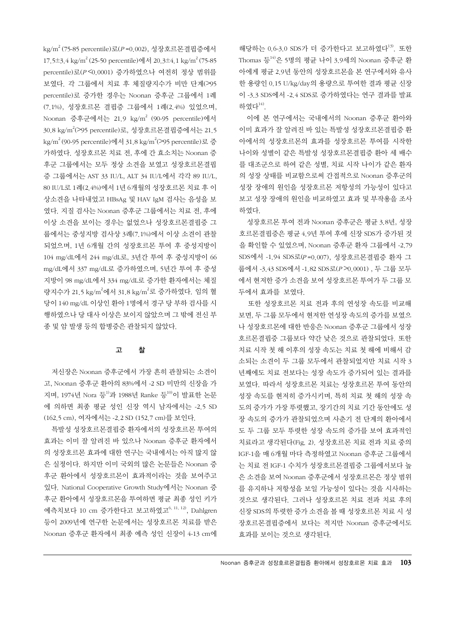kg/m<sup>2</sup> (75-85 percentile)로(P =0.002), 성장호르몬결핍증에서 17.5±3.4 kg/m 2 (25-50 percentile)에서 20.3±4.1 kg/m 2 (75-85 percentile)로(<sup>P</sup> ˂0.0001) 증가하였으나 여전히 정상 범위를 보였다. 각 그룹에서 치료 후 체질량지수가 비만 단계(>95 percentile)로 증가한 경우는 Noonan 증후군 그룹에서 1례 (7.1%), 성장호르몬 결핍증 그룹에서 1례(2.4%) 있었으며, Noonan 증후군에서는 21.9 kg/m 2 (90-95 percentile)에서 30.8 kg/m<sup>2</sup>(>95 percentile)로, 성장호르몬결핍증에서는 21.5 kg/m<sup>2</sup> (90-95 percentile)에서 31.8 kg/m<sup>2</sup>(>95 percentile)로 증 가하였다. 성장호르몬 치료 전, 후에 간 효소치는 Noonan 증 후군 그룹에서는 모두 정상 소견을 보였고 성장호르몬결핍 증 그룹에서는 AST 33 IU/L, ALT 34 IU/L에서 각각 89 IU/L, 80 IU/L로 1례(2.4%)에서 1년 6개월의 성장호르몬 치료 후 이 상소견을 나타내었고 HBsAg 및 HAV IgM 검사는 음성을 보 였다. 지질 검사는 Noonan 증후군 그룹에서는 치료 전, 후에 이상 소견을 보이는 경우는 없었으나 성장호르몬결핍증 그 룹에서는 중성지방 검사상 3례(7.1%)에서 이상 소견이 관찰 되었으며, 1년 6개월 간의 성장호르몬 투여 후 중성지방이 104 mg/dL에서 244 mg/dL로, 3년간 투여 후 중성지방이 66 mg/dL에서 337 mg/dL로 증가하였으며, 5년간 투여 후 중성 지방이 98 mg/dL에서 334 mg/dL로 증가한 환자에서는 체질 량지수가 21.5 kg/m<sup>2</sup>에서 31.8 kg/m<sup>2</sup>로 증가하였다. 임의 혈 당이 140 mg/dL 이상인 환아 1명에서 경구 당 부하 검사를 시 행하였으나 당 대사 이상은 보이지 않았으며 그 밖에 전신 부 종 및 암 발생 등의 합병증은 관찰되지 않았다.

## 고 찰

저신장은 Noonan 증후군에서 가장 흔히 관찰되는 소견이 고, Noonan 증후군 환아의 83%에서 -2 SD 미만의 신장을 가 지며, 1974년 Nora 등<sup>1)</sup>과 1988년 Ranke 등<sup>10)</sup>이 발표한 논문 에 의하면 최종 평균 성인 신장 역시 남자에서는 -2.5 SD (162.5 cm), 여자에서는 -2.2 SD (152.7 cm)를 보인다.

특발성 성장호르몬결핍증 환자에서의 성장호르몬 투여의 효과는 이미 잘 알려진 바 있으나 Noonan 증후군 환자에서 의 성장호르몬 효과에 대한 연구는 국내에서는 아직 많지 않 은 실정이다. 하지만 이미 국외의 많은 논문들은 Noonan 증 후군 환아에서 성장호르몬이 효과적이라는 것을 보여주고 있다. National Cooperative Growth Study에서는 Noonan 증 후군 환아에서 성장호르몬을 투여하면 평균 최종 성인 키가 예측치보다 10 cm 증가한다고 보고하였고<sup>6, 11, 12</sup>, Dahlgren 등이 2009년에 연구한 논문에서는 성장호르몬 치료를 받은 Noonan 증후군 환자에서 최종 예측 성인 신장이 4-13 cm에

해당하는 0.6-3.0 SDS가 더 증가한다고 보고하였다<sup>13)</sup>. 또한 Thomas 등14)은 5명의 평균 나이 3.9세의 Noonan 증후군 환 아에게 평균 2.9년 동안의 성장호르몬을 본 연구에서와 유사 한 용량인 0.15 U/kg/day의 용량으로 투여한 결과 평균 신장 이 -3.3 SDS에서 -2.4 SDS로 증가하였다는 연구 결과를 발표 하였다<sup>14)</sup>.

이에 본 연구에서는 국내에서의 Noonan 증후군 환아와 이미 효과가 잘 알려진 바 있는 특발성 성장호르몬결핍증 환 아에서의 성장호르몬의 효과를 성장호르몬 투여를 시작한 나이와 성별이 같은 특발성 성장호르몬결핍증 환아 세 배수 를 대조군으로 하여 같은 성별, 치료 시작 나이가 같은 환자 의 성장 상태를 비교함으로써 간접적으로 Noonan 증후군의 성장 장애의 원인을 성장호르몬 저항성의 가능성이 있다고 보고 성장 장애의 원인을 비교하였고 효과 및 부작용을 조사 하였다.

성장호르몬 투여 전과 Noonan 증후군은 평균 3.8년, 성장 호르몬결핍증은 평균 4.9년 투여 후에 신장 SDS가 증가된 것 을 확인할 수 있었으며, Noonan 증후군 환자 그룹에서 -2.79 SDS에서 -1.94 SDS로(<sup>P</sup> =0.007), 성장호르몬결핍증 환자 그 룹에서 -3.43 SDS에서 -1.82 SDS로(<sup>P</sup> ˃0.0001) , 두 그룹 모두 에서 현저한 증가 소견을 보여 성장호르몬 투여가 두 그룹 모 두에서 효과를 보였다.

또한 성장호르몬 치료 전과 후의 연성장 속도를 비교해 보면, 두 그룹 모두에서 현저한 연성장 속도의 증가를 보였으 나 성장호르몬에 대한 반응은 Noonan 증후군 그룹에서 성장 호르몬결핍증 그룹보다 약간 낮은 것으로 관찰되었다. 또한 치료 시작 첫 해 이후의 성장 속도는 치료 첫 해에 비해서 감 소되는 소견이 두 그룹 모두에서 관찰되었지만 치료 시작 3 년째에도 치료 전보다는 성장 속도가 증가되어 있는 결과를 보였다. 따라서 성장호르몬 치료는 성장호르몬 투여 동안의 성장 속도를 현저히 증가시키며, 특히 치료 첫 해의 성장 속 도의 증가가 가장 뚜렷했고, 장기간의 치료 기간 동안에도 성 장 속도의 증가가 관찰되었으며 사춘기 전 단계의 환아에서 도 두 그룹 모두 뚜렷한 성장 속도의 증가를 보여 효과적인 치료라고 생각된다(Fig. 2). 성장호르몬 치료 전과 치료 중의 IGF-1을 매 6개월 마다 측정하였고 Noonan 증후군 그룹에서 는 치료 전 IGF-1 수치가 성장호르몬결핍증 그룹에서보다 높 은 소견을 보여 Noonan 증후군에서 성장호르몬은 정상 범위 를 유지하나 저항성을 보일 가능성이 있다는 것을 시사하는 것으로 생각된다. 그러나 성장호르몬 치료 전과 치료 후의 신장 SDS의 뚜렷한 증가 소견을 볼 때 성장호르몬 치료 시 성 장호르몬결핍증에서 보다는 적지만 Noonan 증후군에서도 효과를 보이는 것으로 생각된다.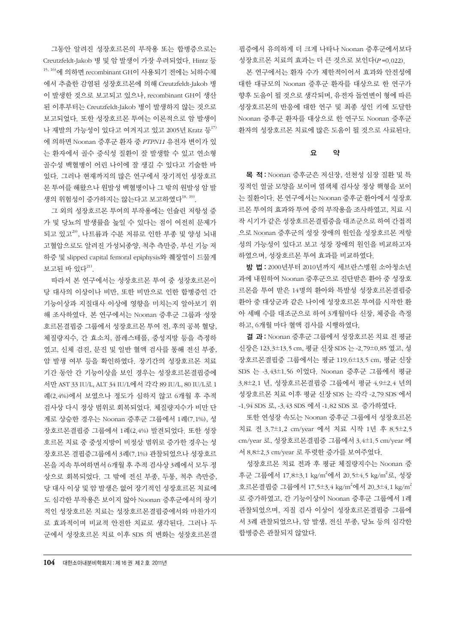그동안 알려진 성장호르몬의 부작용 또는 합병증으로는 Creutzfeldt-Jakob 병 및 암 발생이 가장 우려되었다. Hintz 등  $15, 16$ )에 의하면 recombinant GH이 사용되기 전에는 뇌하수체 에서 추출한 감염된 성장호르몬에 의해 Creutzfeldt-Jakob 병 이 발생한 것으로 보고되고 있으나, recombinant GH이 생산 된 이후부터는 Creutzfeldt-Jakob 병이 발생하지 않는 것으로 보고되었다. 또한 성장호르몬 투여는 이론적으로 암 발생이 나 재발의 가능성이 있다고 여겨지고 있고 2005년 Kratz 등 $^{17}$ 에 의하면 Noonan 증후군 환자 중 PTPN11 유전자 변이가 있 는 환자에서 골수 증식성 질환이 잘 발생할 수 있고 연소형 골수성 백혈병이 어린 나이에 잘 생길 수 있다고 기술한 바 있다. 그러나 현재까지의 많은 연구에서 장기적인 성장호르 몬 투여를 해왔으나 원발성 백혈병이나 그 밖의 원발성 암 발 생의 위험성이 증가하지는 않는다고 보고하였다<sup>18, 19)</sup>.

그 외의 성장호르몬 투여의 부작용에는 인슐린 저항성 증 가 및 당뇨의 발생률을 높일 수 있다는 점이 여전히 문제가 되고 있고<sup>20)</sup>, 나트륨과 수분 저류로 인한 부종 및 양성 뇌내 고혈압으로도 알려진 가성뇌종양, 척추 측만증, 부신 기능 저 하증 및 slipped capital femoral epiphysis와 췌장염이 드물게 보고된 바 있다<sup>21)</sup>.

따라서 본 연구에서는 성장호르몬 투여 중 성장호르몬이 당 대사의 이상이나 비만, 또한 비만으로 인한 합병증인 간 기능이상과 지질대사 이상에 영향을 미치는지 알아보기 위 해 조사하였다. 본 연구에서는 Noonan 증후군 그룹과 성장 호르몬결핍증 그룹에서 성장호르몬 투여 전, 후의 공복 혈당, 체질량지수, 간 효소치, 콜레스테롤, 중성지방 등을 측정하 였고, 신체 검진, 문진 및 일반 혈액 검사를 통해 전신 부종, 암 발생 여부 등을 확인하였다. 장기간의 성장호르몬 치료 기간 동안 간 기능이상을 보인 경우는 성장호르몬결핍증에 서만 AST 33 IU/L, ALT 34 IU/L에서 각각 89 IU/L, 80 IU/L로 1 례(2.4%)에서 보였으나 정도가 심하지 않고 6개월 후 추적 검사상 다시 정상 범위로 회복되었다. 체질량지수가 비만 단 계로 상승한 경우는 Noonan 증후군 그룹에서 1례(7.1%), 성 장호르몬결핍증 그룹에서 1례(2.4%) 발견되었다. 또한 성장 호르몬 치료 중 중성지방이 비정상 범위로 증가한 경우는 성 장호르몬 결핍증그룹에서 3례(7.1%) 관찰되었으나 성장호르 몬을 지속 투여하면서 6개월 후 추적 검사상 3례에서 모두 정 상으로 회복되었다. 그 밖에 전신 부종, 두통, 척추 측만증, 당 대사 이상 및 암 발생은 없어 장기적인 성장호르몬 치료에 도 심각한 부작용은 보이지 않아 Noonan 증후군에서의 장기 적인 성장호르몬 치료는 성장호르몬결핍증에서와 마찬가지 로 효과적이며 비교적 안전한 치료로 생각된다. 그러나 두 군에서 성장호르몬 치료 이후 SDS 의 변화는 성장호르몬결

핍증에서 유의하게 더 크게 나타나 Noonan 증후군에서보다 성장호르몬 치료의 효과는 더 큰 것으로 보인다(<sup>P</sup> =0.022).

본 연구에서는 환자 수가 제한적이어서 효과와 안전성에 대한 대규모의 Noonan 증후군 환자를 대상으로 한 연구가 향후 도움이 될 것으로 생각되며, 유전자 돌연변이 형에 따른 성장호르몬의 반응에 대한 연구 및 최종 성인 키에 도달한 Noonan 증후군 환자를 대상으로 한 연구도 Noonan 증후군 환자의 성장호르몬 치료에 많은 도움이 될 것으로 사료된다.

## 요 약

목 적: Noonan 증후군은 저신장, 선천성 심장 질환 및 특 징적인 얼굴 모양을 보이며 염색체 검사상 정상 핵형을 보이 는 질환이다. 본 연구에서는 Noonan 증후군 환아에서 성장호 르몬 투여의 효과와 투여 중의 부작용을 조사하였고, 치료 시 작시기가같은성장호르몬결핍증을대조군으로하여간접적 으로 Noonan 증후군의 성장 장애의 원인을 성장호르몬 저항 성의 가능성이 있다고 보고 성장 장애의 원인을 비교하고자 하였으며, 성장호르몬 투여 효과를 비교하였다.

방 법 : 2000년부터 2010년까지 세브란스병원 소아청소년 과에 내원하여 Noonan 증후군으로 진단받은 환아 중 성장호 르몬을 투여 받은 14명의 환아와 특발성 성장호르몬결핍증 환아 중 대상군과 같은 나이에 성장호르몬 투여를 시작한 환 아 세배 수를 대조군으로 하여 3개월마다 신장, 체중을 측정 하고, 6개월 마다 혈액 검사를 시행하였다.

결 과: Noonan 증후군 그룹에서 성장호르몬치료 전 평균 신장은 123.3±13.5 cm, 평균 신장SDS 는 -2.79±0.85 였고, 성 장호르몬결핍증 그룹에서는 평균 119.6±13.5 cm, 평균 신장 SDS 는 -3.43±1.56 이었다. Noonan 증후군 그룹에서 평균 3.8±2.1 년, 성장호르몬결핍증 그룹에서 평균 4.9±2.4 년의 성장호르몬 치료 이후 평균 신장 SDS 는 각각 -2.79 SDS 에서 -1.94 SDS 로, -3.43 SDS 에서 -1.82 SDS 로 증가하였다.

또한 연성장 속도는 Noonan 증후군 그룹에서 성장호르몬 치료 전 3.7±1.2 cm/year 에서 치료 시작 1년 후 8.5±2.5 cm/year 로, 성장호르몬결핍증 그룹에서 3.4±1.5 cm/year 에 서 8.8±2.3 cm/year 로 뚜렷한 증가를 보여주었다.

성장호르몬 치료 전과 후 평균 체질량지수는 Noonan 증 후군 그룹에서 17.8±3.1 kg/m<sup>2</sup>에서 20.5±4.5 kg/m<sup>2</sup>로, 성장 호르몬결핍증 그룹에서 17.5±3.4 kg/m<sup>2</sup>에서 20.3±4.1 kg/m<sup>2</sup> 로 증가하였고, 간 기능이상이 Noonan 증후군 그룹에서 1례 관찰되었으며, 지질 검사 이상이 성장호르몬결핍증 그룹에 서 3례 관찰되었으나, 암 발생, 전신 부종, 당뇨 등의 심각한 합병증은 관찰되지 않았다.